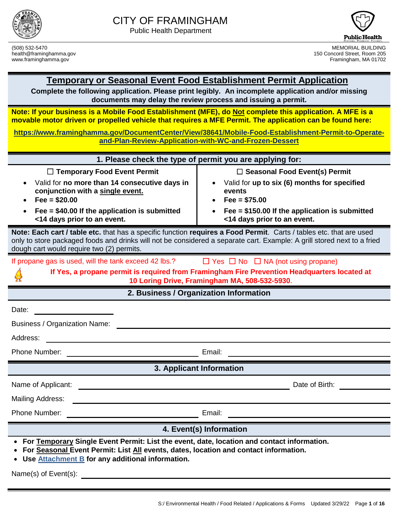



(508) 532-5470 MEMORIAL BUILDING 150 Concord Street, Room 205

#### **Temporary or Seasonal Event Food Establishment Permit Application**

**Complete the following application. Please print legibly. An incomplete application and/or missing documents may delay the review process and issuing a permit.**

**Note: If your business is a Mobile Food Establishment (MFE), do Not complete this application. A MFE is a movable motor driven or propelled vehicle that requires a MFE Permit. The application can be found here:** 

**[https://www.framinghamma.gov/DocumentCenter/View/38641/Mobile-Food-Establishment-Permit-to-Operate](https://www.framinghamma.gov/DocumentCenter/View/38641/Mobile-Food-Establishment-Permit-to-Operate-and-Plan-Review-Application-with-WC-and-Frozen-Dessert)[and-Plan-Review-Application-with-WC-and-Frozen-Dessert](https://www.framinghamma.gov/DocumentCenter/View/38641/Mobile-Food-Establishment-Permit-to-Operate-and-Plan-Review-Application-with-WC-and-Frozen-Dessert)**

|                                                                                                                                                                                                                                                                                             | 1. Please check the type of permit you are applying for:                                                                                                                                            |  |  |
|---------------------------------------------------------------------------------------------------------------------------------------------------------------------------------------------------------------------------------------------------------------------------------------------|-----------------------------------------------------------------------------------------------------------------------------------------------------------------------------------------------------|--|--|
| $\Box$ Temporary Food Event Permit<br>Valid for no more than 14 consecutive days in<br>conjunction with a single event.<br>$Fee = $20.00$<br>Fee = $$40.00$ If the application is submitted<br><14 days prior to an event.                                                                  | $\Box$ Seasonal Food Event(s) Permit<br>Valid for up to six (6) months for specified<br>events<br>$Fee = $75.00$<br>Fee = $$150.00$ If the application is submitted<br><14 days prior to an event.  |  |  |
| Note: Each cart / table etc. that has a specific function requires a Food Permit. Carts / tables etc. that are used<br>only to store packaged foods and drinks will not be considered a separate cart. Example: A grill stored next to a fried<br>dough cart would require two (2) permits. |                                                                                                                                                                                                     |  |  |
| If propane gas is used, will the tank exceed 42 lbs.?                                                                                                                                                                                                                                       | $\Box$ Yes $\Box$ No $\Box$ NA (not using propane)<br>If Yes, a propane permit is required from Framingham Fire Prevention Headquarters located at<br>10 Loring Drive, Framingham MA, 508-532-5930. |  |  |
|                                                                                                                                                                                                                                                                                             | 2. Business / Organization Information                                                                                                                                                              |  |  |
| Date:<br><b>Business / Organization Name:</b>                                                                                                                                                                                                                                               |                                                                                                                                                                                                     |  |  |
| Address:                                                                                                                                                                                                                                                                                    |                                                                                                                                                                                                     |  |  |
| Phone Number:                                                                                                                                                                                                                                                                               | Email:                                                                                                                                                                                              |  |  |
|                                                                                                                                                                                                                                                                                             | 3. Applicant Information                                                                                                                                                                            |  |  |
| Name of Applicant:<br><u> 1989 - Johann Barbara, martxa alemaniar arg</u>                                                                                                                                                                                                                   | Date of Birth:                                                                                                                                                                                      |  |  |
| <b>Mailing Address:</b>                                                                                                                                                                                                                                                                     |                                                                                                                                                                                                     |  |  |
| Phone Number:                                                                                                                                                                                                                                                                               | Email:                                                                                                                                                                                              |  |  |
| 4. Event(s) Information                                                                                                                                                                                                                                                                     |                                                                                                                                                                                                     |  |  |
| • For Temporary Single Event Permit: List the event, date, location and contact information.<br>For Seasonal Event Permit: List All events, dates, location and contact information.<br>• Use Attachment B for any additional information.                                                  |                                                                                                                                                                                                     |  |  |
| Name(s) of Event(s):                                                                                                                                                                                                                                                                        |                                                                                                                                                                                                     |  |  |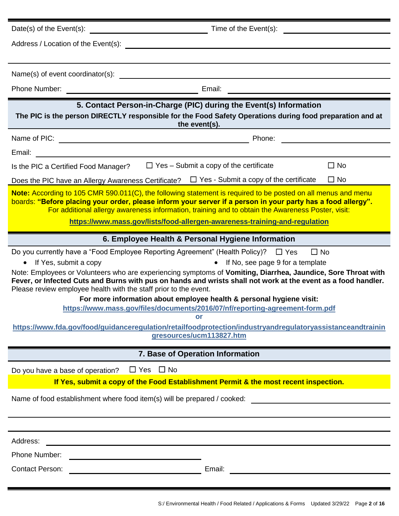| Date(s) of the $Event(s)$ :                                                                                                                                                            | Time of the Event(s):                                                                                                                                                                                                                                                                                                                                                                                                                                                                                                                                                                        |
|----------------------------------------------------------------------------------------------------------------------------------------------------------------------------------------|----------------------------------------------------------------------------------------------------------------------------------------------------------------------------------------------------------------------------------------------------------------------------------------------------------------------------------------------------------------------------------------------------------------------------------------------------------------------------------------------------------------------------------------------------------------------------------------------|
|                                                                                                                                                                                        |                                                                                                                                                                                                                                                                                                                                                                                                                                                                                                                                                                                              |
|                                                                                                                                                                                        |                                                                                                                                                                                                                                                                                                                                                                                                                                                                                                                                                                                              |
|                                                                                                                                                                                        |                                                                                                                                                                                                                                                                                                                                                                                                                                                                                                                                                                                              |
|                                                                                                                                                                                        |                                                                                                                                                                                                                                                                                                                                                                                                                                                                                                                                                                                              |
| <u> 1980 - Johann Barbara, martxa a</u>                                                                                                                                                | 5. Contact Person-in-Charge (PIC) during the Event(s) Information<br>The PIC is the person DIRECTLY responsible for the Food Safety Operations during food preparation and at<br>the event(s).                                                                                                                                                                                                                                                                                                                                                                                               |
| Name of PIC:                                                                                                                                                                           | Phone:                                                                                                                                                                                                                                                                                                                                                                                                                                                                                                                                                                                       |
| Email:<br><u> 1989 - Johann Barn, mars ar breist fan de Amerikaanske kommunister (</u>                                                                                                 |                                                                                                                                                                                                                                                                                                                                                                                                                                                                                                                                                                                              |
| Is the PIC a Certified Food Manager?                                                                                                                                                   | $\Box$ Yes – Submit a copy of the certificate<br>$\Box$ No                                                                                                                                                                                                                                                                                                                                                                                                                                                                                                                                   |
|                                                                                                                                                                                        | $\Box$ No<br>Does the PIC have an Allergy Awareness Certificate? $\square$ Yes - Submit a copy of the certificate                                                                                                                                                                                                                                                                                                                                                                                                                                                                            |
|                                                                                                                                                                                        | Note: According to 105 CMR 590.011(C), the following statement is required to be posted on all menus and menu<br>boards: "Before placing your order, please inform your server if a person in your party has a food allergy".<br>For additional allergy awareness information, training and to obtain the Awareness Poster, visit:<br>https://www.mass.gov/lists/food-allergen-awareness-training-and-regulation                                                                                                                                                                             |
|                                                                                                                                                                                        | 6. Employee Health & Personal Hygiene Information                                                                                                                                                                                                                                                                                                                                                                                                                                                                                                                                            |
| Do you currently have a "Food Employee Reporting Agreement" (Health Policy)? $\Box$ Yes<br>• If Yes, submit a copy<br>Please review employee health with the staff prior to the event. | $\square$ No<br>• If No, see page 9 for a template<br>Note: Employees or Volunteers who are experiencing symptoms of Vomiting, Diarrhea, Jaundice, Sore Throat with<br>Fever, or Infected Cuts and Burns with pus on hands and wrists shall not work at the event as a food handler.<br>For more information about employee health & personal hygiene visit:<br>https://www.mass.gov/files/documents/2016/07/nf/reporting-agreement-form.pdf<br>or<br>https://www.fda.gov/food/guidanceregulation/retailfoodprotection/industryandregulatoryassistanceandtrainin<br>gresources/ucm113827.htm |
|                                                                                                                                                                                        | 7. Base of Operation Information                                                                                                                                                                                                                                                                                                                                                                                                                                                                                                                                                             |
| $\Box$ Yes<br>Do you have a base of operation?                                                                                                                                         | $\Box$ No                                                                                                                                                                                                                                                                                                                                                                                                                                                                                                                                                                                    |
|                                                                                                                                                                                        | If Yes, submit a copy of the Food Establishment Permit & the most recent inspection.                                                                                                                                                                                                                                                                                                                                                                                                                                                                                                         |
| Name of food establishment where food item(s) will be prepared / cooked:                                                                                                               |                                                                                                                                                                                                                                                                                                                                                                                                                                                                                                                                                                                              |
|                                                                                                                                                                                        |                                                                                                                                                                                                                                                                                                                                                                                                                                                                                                                                                                                              |
| Address:                                                                                                                                                                               |                                                                                                                                                                                                                                                                                                                                                                                                                                                                                                                                                                                              |
| Phone Number:                                                                                                                                                                          |                                                                                                                                                                                                                                                                                                                                                                                                                                                                                                                                                                                              |
| <b>Contact Person:</b><br><u> 1980 - Johann John Stone, fransk politik (</u>                                                                                                           | Email:<br><u> 1989 - Johann Harry Harry Harry Harry Harry Harry Harry Harry Harry Harry Harry Harry Harry Harry Harry Harry</u>                                                                                                                                                                                                                                                                                                                                                                                                                                                              |
|                                                                                                                                                                                        |                                                                                                                                                                                                                                                                                                                                                                                                                                                                                                                                                                                              |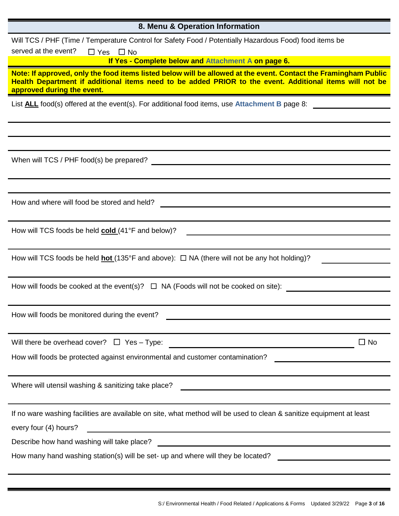| 8. Menu & Operation Information                                                                                                                                                                                                                          |
|----------------------------------------------------------------------------------------------------------------------------------------------------------------------------------------------------------------------------------------------------------|
| Will TCS / PHF (Time / Temperature Control for Safety Food / Potentially Hazardous Food) food items be                                                                                                                                                   |
| served at the event?<br>$\Box$ Yes $\Box$ No                                                                                                                                                                                                             |
| If Yes - Complete below and Attachment A on page 6.                                                                                                                                                                                                      |
| Note: If approved, only the food items listed below will be allowed at the event. Contact the Framingham Public<br>Health Department if additional items need to be added PRIOR to the event. Additional items will not be<br>approved during the event. |
| List ALL food(s) offered at the event(s). For additional food items, use Attachment B page 8:                                                                                                                                                            |
|                                                                                                                                                                                                                                                          |
|                                                                                                                                                                                                                                                          |
|                                                                                                                                                                                                                                                          |
| When will TCS / PHF food(s) be prepared?                                                                                                                                                                                                                 |
|                                                                                                                                                                                                                                                          |
|                                                                                                                                                                                                                                                          |
| How and where will food be stored and held?                                                                                                                                                                                                              |
|                                                                                                                                                                                                                                                          |
| How will TCS foods be held cold (41°F and below)?                                                                                                                                                                                                        |
|                                                                                                                                                                                                                                                          |
| How will TCS foods be held <b>hot</b> (135°F and above): $\Box$ NA (there will not be any hot holding)?                                                                                                                                                  |
|                                                                                                                                                                                                                                                          |
| How will foods be cooked at the event(s)? $\Box$ NA (Foods will not be cooked on site):                                                                                                                                                                  |
|                                                                                                                                                                                                                                                          |
| How will foods be monitored during the event?                                                                                                                                                                                                            |
| <u> 1989 - Johann Barn, mars ann an t-Amhain an t-Amhain an t-Amhain an t-Amhain an t-Amhain an t-Amhain an t-Amh</u>                                                                                                                                    |
| $\square$ No<br>Will there be overhead cover? $\Box$ Yes - Type:                                                                                                                                                                                         |
| How will foods be protected against environmental and customer contamination?                                                                                                                                                                            |
|                                                                                                                                                                                                                                                          |
| Where will utensil washing & sanitizing take place?                                                                                                                                                                                                      |
| <u> 1989 - Johann John Stein, mars an deutscher Stein († 1952)</u>                                                                                                                                                                                       |
| If no ware washing facilities are available on site, what method will be used to clean & sanitize equipment at least                                                                                                                                     |
|                                                                                                                                                                                                                                                          |
| every four (4) hours?                                                                                                                                                                                                                                    |
| <u> 1989 - Johann Stein, marwolaethau a bhann an t-Amhainn an t-Amhainn an t-Amhainn an t-Amhainn an t-Amhainn a</u><br>Describe how hand washing will take place?                                                                                       |
| How many hand washing station(s) will be set- up and where will they be located?                                                                                                                                                                         |
|                                                                                                                                                                                                                                                          |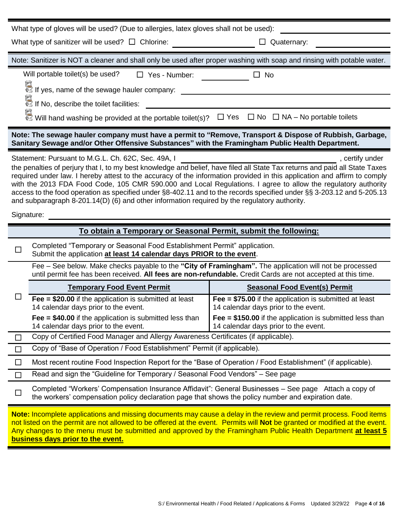| What type of gloves will be used? (Due to allergies, latex gloves shall not be used):                                                                                                                                                                                                                                                                                                                                                                                                                                                                                                                                                                   |                                                                                                                                                              |  |  |
|---------------------------------------------------------------------------------------------------------------------------------------------------------------------------------------------------------------------------------------------------------------------------------------------------------------------------------------------------------------------------------------------------------------------------------------------------------------------------------------------------------------------------------------------------------------------------------------------------------------------------------------------------------|--------------------------------------------------------------------------------------------------------------------------------------------------------------|--|--|
| What type of sanitizer will be used? $\Box$ Chlorine:                                                                                                                                                                                                                                                                                                                                                                                                                                                                                                                                                                                                   | Quaternary:                                                                                                                                                  |  |  |
| Note: Sanitizer is NOT a cleaner and shall only be used after proper washing with soap and rinsing with potable water.                                                                                                                                                                                                                                                                                                                                                                                                                                                                                                                                  |                                                                                                                                                              |  |  |
| Will portable toilet(s) be used?<br>$\Box$ Yes - Number:<br>If yes, name of the sewage hauler company:                                                                                                                                                                                                                                                                                                                                                                                                                                                                                                                                                  | No<br>$\Box$                                                                                                                                                 |  |  |
| ति ।<br>♦े If No, describe the toilet facilities:                                                                                                                                                                                                                                                                                                                                                                                                                                                                                                                                                                                                       |                                                                                                                                                              |  |  |
| $\overline{\mathbb{C}}$ Will hand washing be provided at the portable toilet(s)? $\Box$ Yes $\Box$ No $\Box$ NA – No portable toilets                                                                                                                                                                                                                                                                                                                                                                                                                                                                                                                   |                                                                                                                                                              |  |  |
| Note: The sewage hauler company must have a permit to "Remove, Transport & Dispose of Rubbish, Garbage,<br>Sanitary Sewage and/or Other Offensive Substances" with the Framingham Public Health Department.                                                                                                                                                                                                                                                                                                                                                                                                                                             |                                                                                                                                                              |  |  |
| Statement: Pursuant to M.G.L. Ch. 62C, Sec. 49A, I<br>the penalties of perjury that I, to my best knowledge and belief, have filed all State Tax returns and paid all State Taxes<br>required under law. I hereby attest to the accuracy of the information provided in this application and affirm to comply<br>with the 2013 FDA Food Code, 105 CMR 590.000 and Local Regulations. I agree to allow the regulatory authority<br>access to the food operation as specified under §8-402.11 and to the records specified under §§ 3-203.12 and 5-205.13<br>and subparagraph 8-201.14(D) (6) and other information required by the regulatory authority. | , certify under                                                                                                                                              |  |  |
| Signature:                                                                                                                                                                                                                                                                                                                                                                                                                                                                                                                                                                                                                                              |                                                                                                                                                              |  |  |
| To obtain a Temporary or Seasonal Permit, submit the following:                                                                                                                                                                                                                                                                                                                                                                                                                                                                                                                                                                                         |                                                                                                                                                              |  |  |
| Completed "Temporary or Seasonal Food Establishment Permit" application.<br>$\Box$<br>Submit the application at least 14 calendar days PRIOR to the event.                                                                                                                                                                                                                                                                                                                                                                                                                                                                                              |                                                                                                                                                              |  |  |
| Fee - See below. Make checks payable to the "City of Framingham". The application will not be processed<br>until permit fee has been received. All fees are non-refundable. Credit Cards are not accepted at this time.                                                                                                                                                                                                                                                                                                                                                                                                                                 |                                                                                                                                                              |  |  |
| <b>Temporary Food Event Permit</b>                                                                                                                                                                                                                                                                                                                                                                                                                                                                                                                                                                                                                      | <b>Seasonal Food Event(s) Permit</b>                                                                                                                         |  |  |
| $\sqcup$<br>Fee = $$20.00$ if the application is submitted at least<br>14 calendar days prior to the event.<br>Fee $= $40.00$ if the application is submitted less than                                                                                                                                                                                                                                                                                                                                                                                                                                                                                 | Fee = $$75.00$ if the application is submitted at least<br>14 calendar days prior to the event.<br>Fee $= $150.00$ if the application is submitted less than |  |  |
| 14 calendar days prior to the event.                                                                                                                                                                                                                                                                                                                                                                                                                                                                                                                                                                                                                    | 14 calendar days prior to the event.                                                                                                                         |  |  |
| Copy of Certified Food Manager and Allergy Awareness Certificates (if applicable).<br>□                                                                                                                                                                                                                                                                                                                                                                                                                                                                                                                                                                 |                                                                                                                                                              |  |  |
| Copy of "Base of Operation / Food Establishment" Permit (if applicable).<br>$\Box$                                                                                                                                                                                                                                                                                                                                                                                                                                                                                                                                                                      |                                                                                                                                                              |  |  |
| Most recent routine Food Inspection Report for the "Base of Operation / Food Establishment" (if applicable).<br>$\Box$                                                                                                                                                                                                                                                                                                                                                                                                                                                                                                                                  |                                                                                                                                                              |  |  |
| Read and sign the "Guideline for Temporary / Seasonal Food Vendors" – See page<br>$\Box$                                                                                                                                                                                                                                                                                                                                                                                                                                                                                                                                                                |                                                                                                                                                              |  |  |
| Completed "Workers' Compensation Insurance Affidavit": General Businesses – See page Attach a copy of<br>$\Box$<br>the workers' compensation policy declaration page that shows the policy number and expiration date.                                                                                                                                                                                                                                                                                                                                                                                                                                  |                                                                                                                                                              |  |  |
| Note: Incomplete applications and missing documents may cause a delay in the review and permit process. Food items<br>not listed on the permit are not allowed to be offered at the event. Permits will Not be granted or modified at the event.<br>Any changes to the menu must be submitted and approved by the Framingham Public Health Department at least 5<br>business days prior to the event.                                                                                                                                                                                                                                                   |                                                                                                                                                              |  |  |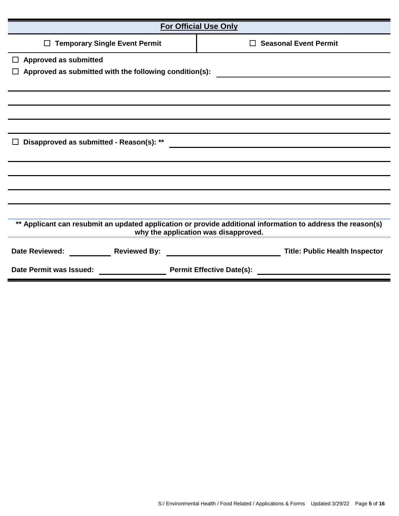| <b>For Official Use Only</b>                                                                                                                        |                                       |  |  |
|-----------------------------------------------------------------------------------------------------------------------------------------------------|---------------------------------------|--|--|
| <b>Temporary Single Event Permit</b><br>□                                                                                                           | $\Box$ Seasonal Event Permit          |  |  |
| <b>Approved as submitted</b><br>$\Box$                                                                                                              |                                       |  |  |
| Approved as submitted with the following condition(s):                                                                                              |                                       |  |  |
|                                                                                                                                                     |                                       |  |  |
|                                                                                                                                                     |                                       |  |  |
|                                                                                                                                                     |                                       |  |  |
|                                                                                                                                                     |                                       |  |  |
| $\perp$                                                                                                                                             |                                       |  |  |
|                                                                                                                                                     |                                       |  |  |
|                                                                                                                                                     |                                       |  |  |
|                                                                                                                                                     |                                       |  |  |
|                                                                                                                                                     |                                       |  |  |
|                                                                                                                                                     |                                       |  |  |
| ** Applicant can resubmit an updated application or provide additional information to address the reason(s)<br>why the application was disapproved. |                                       |  |  |
|                                                                                                                                                     | <b>Title: Public Health Inspector</b> |  |  |
| Date Permit was Issued: Date Permit was Issued:                                                                                                     | <b>Permit Effective Date(s):</b>      |  |  |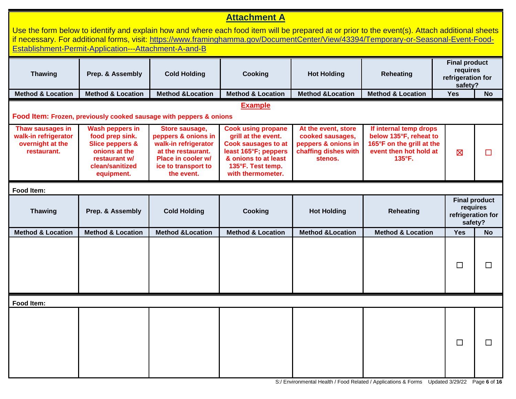## **Attachment A**

|                                                                             | Establishment-Permit-Application---Attachment-A-and-B                                                                                      |                                                                                                                                                |                                                                                                                                                                          |                                                                                                   | Use the form below to identify and explain how and where each food item will be prepared at or prior to the event(s). Attach additional sheets<br>if necessary. For additional forms, visit: https://www.framinghamma.gov/DocumentCenter/View/43394/Temporary-or-Seasonal-Event-Food- |                                                                  |                                                       |
|-----------------------------------------------------------------------------|--------------------------------------------------------------------------------------------------------------------------------------------|------------------------------------------------------------------------------------------------------------------------------------------------|--------------------------------------------------------------------------------------------------------------------------------------------------------------------------|---------------------------------------------------------------------------------------------------|---------------------------------------------------------------------------------------------------------------------------------------------------------------------------------------------------------------------------------------------------------------------------------------|------------------------------------------------------------------|-------------------------------------------------------|
| <b>Thawing</b>                                                              | Prep. & Assembly                                                                                                                           | <b>Cold Holding</b>                                                                                                                            | Cooking                                                                                                                                                                  | <b>Hot Holding</b>                                                                                | <b>Reheating</b>                                                                                                                                                                                                                                                                      | <b>Final product</b><br>requires<br>refrigeration for<br>safety? |                                                       |
| <b>Method &amp; Location</b>                                                | <b>Method &amp; Location</b>                                                                                                               | <b>Method &amp;Location</b>                                                                                                                    | <b>Method &amp; Location</b>                                                                                                                                             | <b>Method &amp;Location</b>                                                                       | <b>Method &amp; Location</b>                                                                                                                                                                                                                                                          | Yes                                                              | <b>No</b>                                             |
|                                                                             |                                                                                                                                            | Food Item: Frozen, previously cooked sausage with peppers & onions                                                                             | <b>Example</b>                                                                                                                                                           |                                                                                                   |                                                                                                                                                                                                                                                                                       |                                                                  |                                                       |
| Thaw sausages in<br>walk-in refrigerator<br>overnight at the<br>restaurant. | <b>Wash peppers in</b><br>food prep sink.<br><b>Slice peppers &amp;</b><br>onions at the<br>restaurant w/<br>clean/sanitized<br>equipment. | Store sausage,<br>peppers & onions in<br>walk-in refrigerator<br>at the restaurant.<br>Place in cooler w/<br>ice to transport to<br>the event. | <b>Cook using propane</b><br>grill at the event.<br><b>Cook sausages to at</b><br>least 165°F; peppers<br>& onions to at least<br>135°F. Test temp.<br>with thermometer. | At the event, store<br>cooked sausages,<br>peppers & onions in<br>chaffing dishes with<br>stenos. | If internal temp drops<br>below 135°F, reheat to<br>165°F on the grill at the<br>event then hot hold at<br>135°F.                                                                                                                                                                     | $\boxtimes$                                                      | $\mathsf{L}$                                          |
| Food Item:                                                                  |                                                                                                                                            |                                                                                                                                                |                                                                                                                                                                          |                                                                                                   |                                                                                                                                                                                                                                                                                       |                                                                  |                                                       |
| <b>Thawing</b>                                                              | Prep. & Assembly                                                                                                                           | <b>Cold Holding</b>                                                                                                                            | <b>Cooking</b>                                                                                                                                                           | <b>Hot Holding</b>                                                                                | <b>Reheating</b>                                                                                                                                                                                                                                                                      | safety?                                                          | <b>Final product</b><br>requires<br>refrigeration for |
| <b>Method &amp; Location</b>                                                | <b>Method &amp; Location</b>                                                                                                               | <b>Method &amp;Location</b>                                                                                                                    | <b>Method &amp; Location</b>                                                                                                                                             | <b>Method &amp;Location</b>                                                                       | <b>Method &amp; Location</b>                                                                                                                                                                                                                                                          | <b>Yes</b>                                                       | <b>No</b>                                             |
|                                                                             |                                                                                                                                            |                                                                                                                                                |                                                                                                                                                                          |                                                                                                   |                                                                                                                                                                                                                                                                                       | $\Box$                                                           | $\Box$                                                |
| Food Item:                                                                  |                                                                                                                                            |                                                                                                                                                |                                                                                                                                                                          |                                                                                                   |                                                                                                                                                                                                                                                                                       |                                                                  |                                                       |
|                                                                             |                                                                                                                                            |                                                                                                                                                |                                                                                                                                                                          |                                                                                                   |                                                                                                                                                                                                                                                                                       | $\Box$                                                           |                                                       |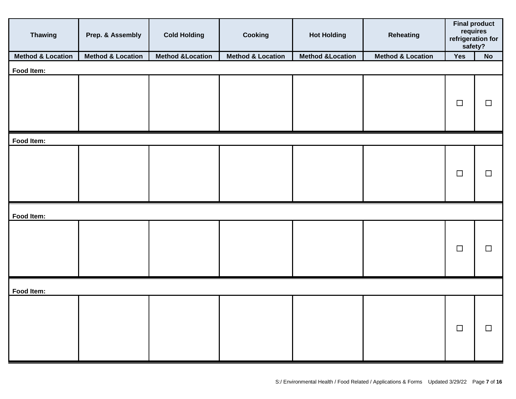| <b>Thawing</b>               | Prep. & Assembly             | <b>Cold Holding</b>         | Cooking                      | <b>Hot Holding</b>          | <b>Reheating</b>             | <b>Final product</b><br>requires<br>refrigeration for<br>safety? |        |
|------------------------------|------------------------------|-----------------------------|------------------------------|-----------------------------|------------------------------|------------------------------------------------------------------|--------|
| <b>Method &amp; Location</b> | <b>Method &amp; Location</b> | <b>Method &amp;Location</b> | <b>Method &amp; Location</b> | <b>Method &amp;Location</b> | <b>Method &amp; Location</b> | Yes                                                              | No     |
| Food Item:                   |                              |                             |                              |                             |                              |                                                                  |        |
|                              |                              |                             |                              |                             |                              | $\Box$                                                           | $\Box$ |
| Food Item:                   |                              |                             |                              |                             |                              |                                                                  |        |
|                              |                              |                             |                              |                             |                              | $\Box$                                                           | $\Box$ |
| Food Item:                   |                              |                             |                              |                             |                              |                                                                  |        |
|                              |                              |                             |                              |                             |                              | $\Box$                                                           | $\Box$ |
| Food Item:                   |                              |                             |                              |                             |                              |                                                                  |        |
|                              |                              |                             |                              |                             |                              | $\Box$                                                           | $\Box$ |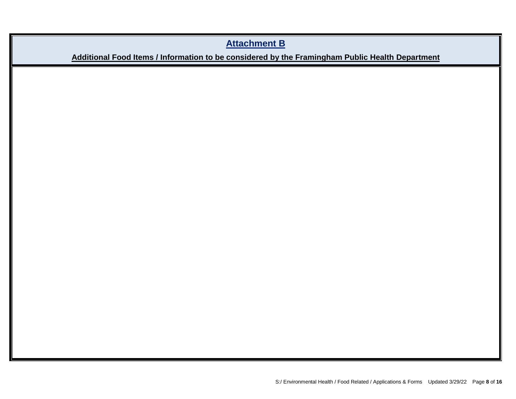## **Attachment B**

## **Additional Food Items / Information to be considered by the Framingham Public Health Department**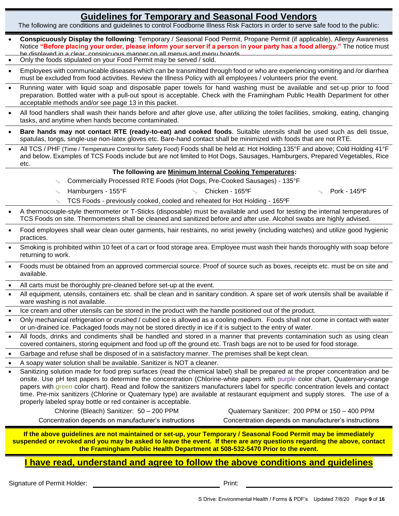## **Guidelines for Temporary and Seasonal Food Vendors**

The following are conditions and guidelines to control Foodborne Illness Risk Factors in order to serve safe food to the public:

- **Conspicuously Display the following**: Temporary / Seasonal Food Permit, Propane Permit (if applicable), Allergy Awareness Notice **"Before placing your order, please inform your server if a person in your party has a food allergy."** The notice must be displayed in a clear, conspicuous manner on all menus and menu boards.
- Only the foods stipulated on your Food Permit may be served / sold.
- Employees with communicable diseases which can be transmitted through food or who are experiencing vomiting and /or diarrhea must be excluded from food activities. Review the Illness Policy with all employees / volunteers prior the event.
- Running water with liquid soap and disposable paper towels for hand washing must be available and set-up prior to food preparation. Bottled water with a pull-out spout is acceptable. Check with the Framingham Public Health Department for other acceptable methods and/or see page 13 in this packet.
- All food handlers shall wash their hands before and after glove use, after utilizing the toilet facilities, smoking, eating, changing tasks, and anytime when hands become contaminated.
- **Bare hands may not contact RTE (ready-to-eat) and cooked foods**. Suitable utensils shall be used such as deli tissue, spatulas, tongs, single-use non-latex gloves etc. Bare-hand contact shall be minimized with foods that are not RTE.
- All TCS / PHF (Time / Temperature Control for Safety Food) Foods shall be held at: Hot Holding 135°F and above; Cold Holding 41°F and below. Examples of TCS Foods include but are not limited to Hot Dogs, Sausages, Hamburgers, Prepared Vegetables, Rice etc.

#### **The following are Minimum Internal Cooking Temperatures:**

Commercially Processed RTE Foods (Hot Dogs, Pre-Cooked Sausages) - 135°F

 $\sim$  Hamburgers - 155°F  $\sim$  Chicken - 165°F  $\sim$  Pork - 145°F

- TCS Foods previously cooked, cooled and reheated for Hot Holding 165ºF
- A thermocouple-style thermometer or T-Sticks (disposable) must be available and used for testing the internal temperatures of TCS Foods on site. Thermometers shall be cleaned and sanitized before and after use. Alcohol swabs are highly advised.
- Food employees shall wear clean outer garments, hair restraints, no wrist jewelry (including watches) and utilize good hygienic practices.
- Smoking is prohibited within 10 feet of a cart or food storage area. Employee must wash their hands thoroughly with soap before returning to work.
- Foods must be obtained from an approved commercial source. Proof of source such as boxes, receipts etc. must be on site and available.
- All carts must be thoroughly pre-cleaned before set-up at the event.
- All equipment, utensils, containers etc. shall be clean and in sanitary condition. A spare set of work utensils shall be available if ware washing is not available.
- Ice cream and other utensils can be stored in the product with the handle positioned out of the product.
- Only mechanical refrigeration or crushed / cubed ice is allowed as a cooling medium. Foods shall not come in contact with water or un-drained ice. Packaged foods may not be stored directly in ice if it is subject to the entry of water.
- •• All foods, drinks and condiments shall be handled and stored in a manner that prevents contamination such as using clean covered containers, storing equipment and food up off the ground etc. Trash bags are not to be used for food storage.
- Garbage and refuse shall be disposed of in a satisfactory manner. The premises shall be kept clean.
- A soapy water solution shall be available. Sanitizer is NOT a cleaner.

• Sanitizing solution made for food prep surfaces (read the chemical label) shall be prepared at the proper concentration and be onsite. Use pH test papers to determine the concentration (Chlorine-white papers with purple color chart, Quaternary-orange papers with green color chart). Read and follow the sanitizers manufacturers label for specific concentration levels and contact time. Pre-mix sanitizers (Chlorine or Quaternary type) are available at restaurant equipment and supply stores. The use of a properly labeled spray bottle or red container is acceptable.

Chlorine (Bleach) Sanitizer: 50 – 200 PPM Quaternary Sanitizer: 200 PPM or 150 – 400 PPM Concentration depends on manufacturer's instructions Concentration depends on manufacturer's instructions

**If the above guidelines are not maintained or set-up, your Temporary / Seasonal Food Permit may be immediately suspended or revoked and you may be asked to leave the event. If there are any questions regarding the above, contact the Framingham Public Health Department at 508-532-5470 Prior to the event.**

#### **I have read, understand and agree to follow the above conditions and guidelines**

Signature of Permit Holder: example of Permit Holder: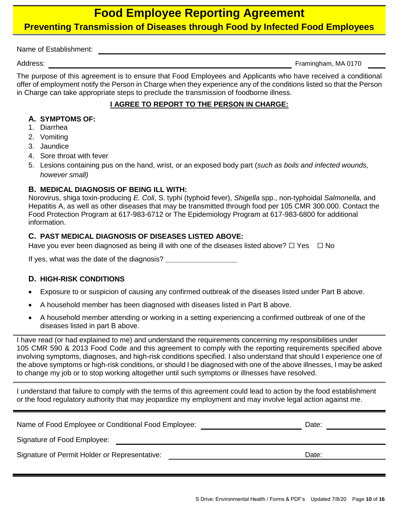## **Food Employee Reporting Agreement**

### **Preventing Transmission of Diseases through Food by Infected Food Employees**

Name of Establishment:

Address: Framingham, MA 0170

The purpose of this agreement is to ensure that Food Employees and Applicants who have received a conditional offer of employment notify the Person in Charge when they experience any of the conditions listed so that the Person in Charge can take appropriate steps to preclude the transmission of foodborne illness.

#### **I AGREE TO REPORT TO THE PERSON IN CHARGE:**

#### **A. SYMPTOMS OF:**

- 1. Diarrhea
- 2. Vomiting
- 3. Jaundice
- 4. Sore throat with fever
- 5. Lesions containing pus on the hand, wrist, or an exposed body part (*such as boils and infected wounds, however small)*

#### **B. MEDICAL DIAGNOSIS OF BEING ILL WITH:**

Norovirus, shiga toxin-producing *E. Coli*, S. typhi (typhoid fever), *Shigella* spp., non-typhoidal *Salmonella*, and Hepatitis A, as well as other diseases that may be transmitted through food per 105 CMR 300.000. Contact the Food Protection Program at 617-983-6712 or The Epidemiology Program at 617-983-6800 for additional information.

#### **C. PAST MEDICAL DIAGNOSIS OF DISEASES LISTED ABOVE:**

Have you ever been diagnosed as being ill with one of the diseases listed above?  $\Box$  Yes  $\Box$  No

If yes, what was the date of the diagnosis? **\_\_\_\_\_\_\_\_\_\_\_\_\_\_\_\_\_\_**

#### **D. HIGH-RISK CONDITIONS**

- Exposure to or suspicion of causing any confirmed outbreak of the diseases listed under Part B above.
- A household member has been diagnosed with diseases listed in Part B above.
- A household member attending or working in a setting experiencing a confirmed outbreak of one of the diseases listed in part B above.

I have read (or had explained to me) and understand the requirements concerning my responsibilities under 105 CMR 590 & 2013 Food Code and this agreement to comply with the reporting requirements specified above involving symptoms, diagnoses, and high-risk conditions specified. I also understand that should I experience one of the above symptoms or high-risk conditions, or should I be diagnosed with one of the above illnesses, I may be asked to change my job or to stop working altogether until such symptoms or illnesses have resolved.

I understand that failure to comply with the terms of this agreement could lead to action by the food establishment or the food regulatory authority that may jeopardize my employment and may involve legal action against me.

| Name of Food Employee or Conditional Food Employee: | Date: |  |
|-----------------------------------------------------|-------|--|
| Signature of Food Employee:                         |       |  |
| Signature of Permit Holder or Representative:       | Date: |  |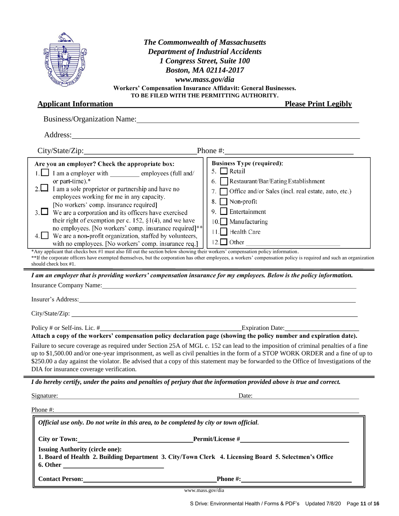| Business/Organization Name: 1988 Manual Manual Manual Manual Manual Manual Manual Manual Manual Manual Manual Manual Manual Manual Manual Manual Manual Manual Manual Manual Manual Manual Manual Manual Manual Manual Manual<br><b>Business Type (required):</b><br>Are you an employer? Check the appropriate box:<br>5. $\Box$ Retail<br>1. I am a employer with employees (full and/<br>or part-time).*<br>6. Restaurant/Bar/Eating Establishment<br>2. $\Box$ I am a sole proprietor or partnership and have no<br>7. Office and/or Sales (incl. real estate, auto, etc.)<br>employees working for me in any capacity.<br>$\Box$ Non-profit<br>8.<br>[No workers' comp. insurance required]<br>$\Box$ Entertainment<br>9.<br>$3.$ We are a corporation and its officers have exercised<br>their right of exemption per c. 152, $\S1(4)$ , and we have<br>10. Manufacturing<br>no employees. [No workers' comp. insurance required]**<br>11. Health Care<br>We are a non-profit organization, staffed by volunteers,<br>with no employees. [No workers' comp. insurance req.]<br>*Any applicant that checks box #1 must also fill out the section below showing their workers' compensation policy information.<br>** If the corporate officers have exempted themselves, but the corporation has other employees, a workers' compensation policy is required and such an organization<br>should check box #1.<br>I am an employer that is providing workers' compensation insurance for my employees. Below is the policy information.<br>Insurance Company Name: Name and Second Second Second Second Second Second Second Second Second Second Second Second Second Second Second Second Second Second Second Second Second Second Second Second Second Second Second<br>Insurer's Address: Note that the contract of the contract of the contract of the contract of the contract of the contract of the contract of the contract of the contract of the contract of the contract of the contract of t<br>Policy # or Self-ins. Lic. #<br>Attach a copy of the workers' compensation policy declaration page (showing the policy number and expiration date).<br>Failure to secure coverage as required under Section 25A of MGL c. 152 can lead to the imposition of criminal penalties of a fine<br>up to \$1,500.00 and/or one-year imprisonment, as well as civil penalties in the form of a STOP WORK ORDER and a fine of up to<br>\$250.00 a day against the violator. Be advised that a copy of this statement may be forwarded to the Office of Investigations of the<br>DIA for insurance coverage verification.<br>I do hereby certify, under the pains and penalties of perjury that the information provided above is true and correct.<br>Signature: Signature:<br>Date:<br><u> 1980 - Jan Samuel Barbara, martin de la provincia de la provincia de la provincia de la provincia de la provi</u><br>Phone #:<br>Official use only. Do not write in this area, to be completed by city or town official.<br>City or Town: <u>New York: Permit/License</u> #<br><b>Issuing Authority (circle one):</b><br>1. Board of Health 2. Building Department 3. City/Town Clerk 4. Licensing Board 5. Selectmen's Office<br><b>Contact Person:</b> Phone #: | <b>The Commonwealth of Massachusetts</b><br><b>Department of Industrial Accidents</b><br>1 Congress Street, Suite 100<br>Boston, MA 02114-2017<br>www.mass.gov/dia<br>Workers' Compensation Insurance Affidavit: General Businesses.<br>TO BE FILED WITH THE PERMITTING AUTHORITY.<br><b>Applicant Information</b> | <b>Please Print Legibly</b><br><u> 1980 - Johann Barbara, martin amerikan basar dan berasal dalam berasal dalam basar dalam basar dalam basar da</u> |
|------------------------------------------------------------------------------------------------------------------------------------------------------------------------------------------------------------------------------------------------------------------------------------------------------------------------------------------------------------------------------------------------------------------------------------------------------------------------------------------------------------------------------------------------------------------------------------------------------------------------------------------------------------------------------------------------------------------------------------------------------------------------------------------------------------------------------------------------------------------------------------------------------------------------------------------------------------------------------------------------------------------------------------------------------------------------------------------------------------------------------------------------------------------------------------------------------------------------------------------------------------------------------------------------------------------------------------------------------------------------------------------------------------------------------------------------------------------------------------------------------------------------------------------------------------------------------------------------------------------------------------------------------------------------------------------------------------------------------------------------------------------------------------------------------------------------------------------------------------------------------------------------------------------------------------------------------------------------------------------------------------------------------------------------------------------------------------------------------------------------------------------------------------------------------------------------------------------------------------------------------------------------------------------------------------------------------------------------------------------------------------------------------------------------------------------------------------------------------------------------------------------------------------------------------------------------------------------------------------------------------------------------------------------------------------------------------------------------------------------------------------------------------------------------------------------------------------------------------------------------------------------------------------------------------------------------------------------------------------------------------------------------------------------------------------------------------------------------------------------------------------------------------------------------------------------------------------------------------------------------------------------------|--------------------------------------------------------------------------------------------------------------------------------------------------------------------------------------------------------------------------------------------------------------------------------------------------------------------|------------------------------------------------------------------------------------------------------------------------------------------------------|
|                                                                                                                                                                                                                                                                                                                                                                                                                                                                                                                                                                                                                                                                                                                                                                                                                                                                                                                                                                                                                                                                                                                                                                                                                                                                                                                                                                                                                                                                                                                                                                                                                                                                                                                                                                                                                                                                                                                                                                                                                                                                                                                                                                                                                                                                                                                                                                                                                                                                                                                                                                                                                                                                                                                                                                                                                                                                                                                                                                                                                                                                                                                                                                                                                                                                        |                                                                                                                                                                                                                                                                                                                    |                                                                                                                                                      |
|                                                                                                                                                                                                                                                                                                                                                                                                                                                                                                                                                                                                                                                                                                                                                                                                                                                                                                                                                                                                                                                                                                                                                                                                                                                                                                                                                                                                                                                                                                                                                                                                                                                                                                                                                                                                                                                                                                                                                                                                                                                                                                                                                                                                                                                                                                                                                                                                                                                                                                                                                                                                                                                                                                                                                                                                                                                                                                                                                                                                                                                                                                                                                                                                                                                                        |                                                                                                                                                                                                                                                                                                                    |                                                                                                                                                      |
|                                                                                                                                                                                                                                                                                                                                                                                                                                                                                                                                                                                                                                                                                                                                                                                                                                                                                                                                                                                                                                                                                                                                                                                                                                                                                                                                                                                                                                                                                                                                                                                                                                                                                                                                                                                                                                                                                                                                                                                                                                                                                                                                                                                                                                                                                                                                                                                                                                                                                                                                                                                                                                                                                                                                                                                                                                                                                                                                                                                                                                                                                                                                                                                                                                                                        |                                                                                                                                                                                                                                                                                                                    |                                                                                                                                                      |
|                                                                                                                                                                                                                                                                                                                                                                                                                                                                                                                                                                                                                                                                                                                                                                                                                                                                                                                                                                                                                                                                                                                                                                                                                                                                                                                                                                                                                                                                                                                                                                                                                                                                                                                                                                                                                                                                                                                                                                                                                                                                                                                                                                                                                                                                                                                                                                                                                                                                                                                                                                                                                                                                                                                                                                                                                                                                                                                                                                                                                                                                                                                                                                                                                                                                        |                                                                                                                                                                                                                                                                                                                    |                                                                                                                                                      |
|                                                                                                                                                                                                                                                                                                                                                                                                                                                                                                                                                                                                                                                                                                                                                                                                                                                                                                                                                                                                                                                                                                                                                                                                                                                                                                                                                                                                                                                                                                                                                                                                                                                                                                                                                                                                                                                                                                                                                                                                                                                                                                                                                                                                                                                                                                                                                                                                                                                                                                                                                                                                                                                                                                                                                                                                                                                                                                                                                                                                                                                                                                                                                                                                                                                                        |                                                                                                                                                                                                                                                                                                                    |                                                                                                                                                      |
|                                                                                                                                                                                                                                                                                                                                                                                                                                                                                                                                                                                                                                                                                                                                                                                                                                                                                                                                                                                                                                                                                                                                                                                                                                                                                                                                                                                                                                                                                                                                                                                                                                                                                                                                                                                                                                                                                                                                                                                                                                                                                                                                                                                                                                                                                                                                                                                                                                                                                                                                                                                                                                                                                                                                                                                                                                                                                                                                                                                                                                                                                                                                                                                                                                                                        |                                                                                                                                                                                                                                                                                                                    |                                                                                                                                                      |
|                                                                                                                                                                                                                                                                                                                                                                                                                                                                                                                                                                                                                                                                                                                                                                                                                                                                                                                                                                                                                                                                                                                                                                                                                                                                                                                                                                                                                                                                                                                                                                                                                                                                                                                                                                                                                                                                                                                                                                                                                                                                                                                                                                                                                                                                                                                                                                                                                                                                                                                                                                                                                                                                                                                                                                                                                                                                                                                                                                                                                                                                                                                                                                                                                                                                        |                                                                                                                                                                                                                                                                                                                    |                                                                                                                                                      |
|                                                                                                                                                                                                                                                                                                                                                                                                                                                                                                                                                                                                                                                                                                                                                                                                                                                                                                                                                                                                                                                                                                                                                                                                                                                                                                                                                                                                                                                                                                                                                                                                                                                                                                                                                                                                                                                                                                                                                                                                                                                                                                                                                                                                                                                                                                                                                                                                                                                                                                                                                                                                                                                                                                                                                                                                                                                                                                                                                                                                                                                                                                                                                                                                                                                                        |                                                                                                                                                                                                                                                                                                                    |                                                                                                                                                      |
|                                                                                                                                                                                                                                                                                                                                                                                                                                                                                                                                                                                                                                                                                                                                                                                                                                                                                                                                                                                                                                                                                                                                                                                                                                                                                                                                                                                                                                                                                                                                                                                                                                                                                                                                                                                                                                                                                                                                                                                                                                                                                                                                                                                                                                                                                                                                                                                                                                                                                                                                                                                                                                                                                                                                                                                                                                                                                                                                                                                                                                                                                                                                                                                                                                                                        |                                                                                                                                                                                                                                                                                                                    |                                                                                                                                                      |
|                                                                                                                                                                                                                                                                                                                                                                                                                                                                                                                                                                                                                                                                                                                                                                                                                                                                                                                                                                                                                                                                                                                                                                                                                                                                                                                                                                                                                                                                                                                                                                                                                                                                                                                                                                                                                                                                                                                                                                                                                                                                                                                                                                                                                                                                                                                                                                                                                                                                                                                                                                                                                                                                                                                                                                                                                                                                                                                                                                                                                                                                                                                                                                                                                                                                        |                                                                                                                                                                                                                                                                                                                    |                                                                                                                                                      |
|                                                                                                                                                                                                                                                                                                                                                                                                                                                                                                                                                                                                                                                                                                                                                                                                                                                                                                                                                                                                                                                                                                                                                                                                                                                                                                                                                                                                                                                                                                                                                                                                                                                                                                                                                                                                                                                                                                                                                                                                                                                                                                                                                                                                                                                                                                                                                                                                                                                                                                                                                                                                                                                                                                                                                                                                                                                                                                                                                                                                                                                                                                                                                                                                                                                                        |                                                                                                                                                                                                                                                                                                                    |                                                                                                                                                      |

www.mass.gov/dia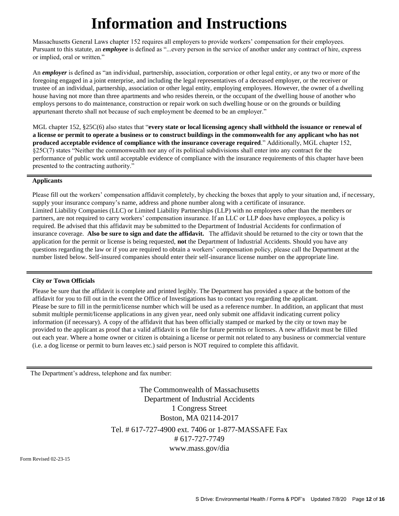## **Information and Instructions**

Massachusetts General Laws chapter 152 requires all employers to provide workers' compensation for their employees. Pursuant to this statute, an *employee* is defined as "...every person in the service of another under any contract of hire, express or implied, oral or written."

An *employer* is defined as "an individual, partnership, association, corporation or other legal entity, or any two or more of the foregoing engaged in a joint enterprise, and including the legal representatives of a deceased employer, or the receiver or trustee of an individual, partnership, association or other legal entity, employing employees. However, the owner of a dwelling house having not more than three apartments and who resides therein, or the occupant of the dwelling house of another who employs persons to do maintenance, construction or repair work on such dwelling house or on the grounds or building appurtenant thereto shall not because of such employment be deemed to be an employer."

MGL chapter 152, §25C(6) also states that "**every state or local licensing agency shall withhold the issuance or renewal of a license or permit to operate a business or to construct buildings in the commonwealth for any applicant who has not produced acceptable evidence of compliance with the insurance coverage required**." Additionally, MGL chapter 152, §25C(7) states "Neither the commonwealth nor any of its political subdivisions shall enter into any contract for the performance of public work until acceptable evidence of compliance with the insurance requirements of this chapter have been presented to the contracting authority."

#### **Applicants**

Please fill out the workers' compensation affidavit completely, by checking the boxes that apply to your situation and, if necessary, supply your insurance company's name, address and phone number along with a certificate of insurance. Limited Liability Companies (LLC) or Limited Liability Partnerships (LLP) with no employees other than the members or partners, are not required to carry workers' compensation insurance. If an LLC or LLP does have employees, a policy is required. Be advised that this affidavit may be submitted to the Department of Industrial Accidents for confirmation of insurance coverage. **Also be sure to sign and date the affidavit.** The affidavit should be returned to the city or town that the application for the permit or license is being requested, **not** the Department of Industrial Accidents. Should you have any questions regarding the law or if you are required to obtain a workers' compensation policy, please call the Department at the number listed below. Self-insured companies should enter their self-insurance license number on the appropriate line.

#### **City or Town Officials**

Please be sure that the affidavit is complete and printed legibly. The Department has provided a space at the bottom of the affidavit for you to fill out in the event the Office of Investigations has to contact you regarding the applicant. Please be sure to fill in the permit/license number which will be used as a reference number. In addition, an applicant that must submit multiple permit/license applications in any given year, need only submit one affidavit indicating current policy information (if necessary). A copy of the affidavit that has been officially stamped or marked by the city or town may be provided to the applicant as proof that a valid affidavit is on file for future permits or licenses. A new affidavit must be filled out each year. Where a home owner or citizen is obtaining a license or permit not related to any business or commercial venture (i.e. a dog license or permit to burn leaves etc.) said person is NOT required to complete this affidavit.

The Department's address, telephone and fax number:

The Commonwealth of Massachusetts Department of Industrial Accidents 1 Congress Street Boston, MA 02114-2017 Tel. # 617-727-4900 ext. 7406 or 1-877-MASSAFE Fax # 617-727-7749 [www.mass.gov/dia](http://www.mass.gov/dia)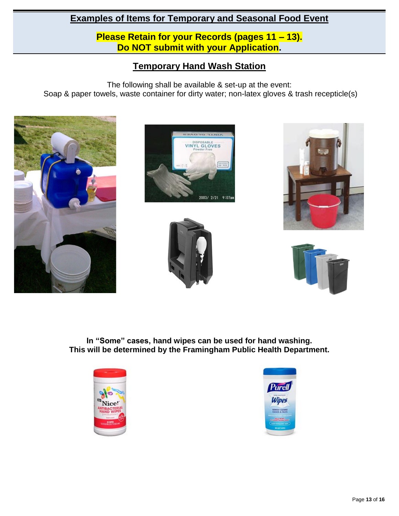**Please Retain for your Records (pages 11 – 13). Do NOT submit with your Application.**

## **Temporary Hand Wash Station**

The following shall be available & set-up at the event: Soap & paper towels, waste container for dirty water; non-latex gloves & trash recepticle(s)











**In "Some" cases, hand wipes can be used for hand washing. This will be determined by the Framingham Public Health Department.**



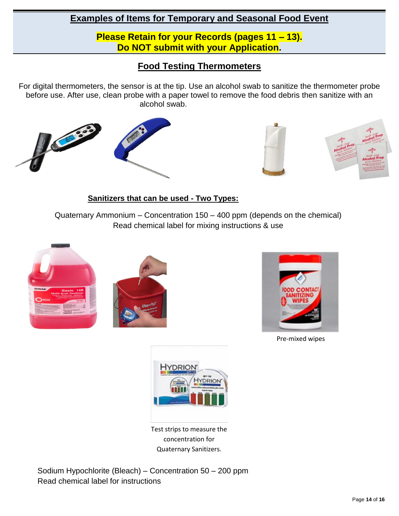**Please Retain for your Records (pages 11 – 13). Do NOT submit with your Application.**

## **Food Testing Thermometers**

For digital thermometers, the sensor is at the tip. Use an alcohol swab to sanitize the thermometer probe before use. After use, clean probe with a paper towel to remove the food debris then sanitize with an alcohol swab.





#### **Sanitizers that can be used - Two Types:**

 $\mathbf{r}$ 

Quaternary Ammonium – Concentration 150 – 400 ppm (depends on the chemical) Read chemical label for mixing instructions & use





Pre-mixed wipes



Test strips to measure the concentration for Quaternary Sanitizers.

Sodium Hypochlorite (Bleach) – Concentration 50 – 200 ppm Read chemical label for instructions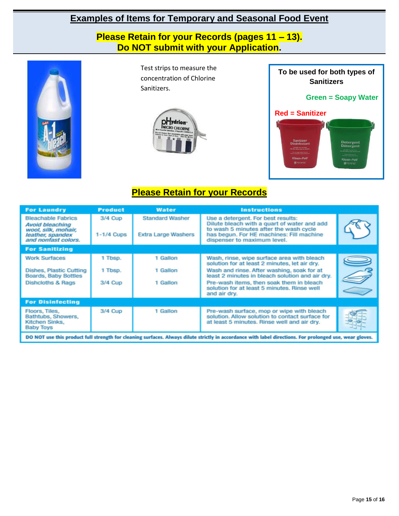**Please Retain for your Records (pages 11 – 13). Do NOT submit with your Application.**



Test strips to measure the concentration of Chlorine Sanitizers.





## **Please Retain for your Records**

| <b>For Laundry</b>                                                                                                                                       | <b>Product</b>        | <b>Water</b>                                         | <b>Instructions</b>                                                                                                                                                                                    |  |  |
|----------------------------------------------------------------------------------------------------------------------------------------------------------|-----------------------|------------------------------------------------------|--------------------------------------------------------------------------------------------------------------------------------------------------------------------------------------------------------|--|--|
| <b>Bleachable Fabrics</b><br>Avoid bleaching<br>wool, silk, mohair,<br>leather, spandex<br>and nonfast colors.                                           | 3/4 Cup<br>1-1/4 Cups | <b>Standard Washer</b><br><b>Extra Large Washers</b> | Use a detergent. For best results:<br>Dilute bleach with a quart of water and add<br>to wash 5 minutes after the wash cycle<br>has begun. For HE machines: Fill machine<br>dispenser to maximum level. |  |  |
| <b>For Sanitizing</b>                                                                                                                                    |                       |                                                      |                                                                                                                                                                                                        |  |  |
| <b>Work Surfaces</b>                                                                                                                                     | 1 Tbsp.               | 1 Gallon                                             | Wash, rinse, wipe surface area with bleach<br>solution for at least 2 minutes, let air dry.                                                                                                            |  |  |
| Dishes, Plastic Cutting<br>Boards, Baby Bottles                                                                                                          | 1 Tbsp.               | 1 Gallon                                             | Wash and rinse. After washing, soak for at<br>least 2 minutes in bleach solution and air dry.                                                                                                          |  |  |
| <b>Dishcloths &amp; Rags</b>                                                                                                                             | 3/4 Cup               | 1 Gallon                                             | Pre-wash items, then soak them in bleach<br>solution for at least 5 minutes. Rinse well<br>and air dry.                                                                                                |  |  |
| <b>For Disinfecting</b>                                                                                                                                  |                       |                                                      |                                                                                                                                                                                                        |  |  |
| Floors, Tiles,<br>Bathtubs, Showers,<br>Kitchen Sinks.<br><b>Baby Toys</b>                                                                               | 3/4 Cup               | 1 Gallon                                             | Pre-wash surface, mop or wipe with bleach<br>solution. Allow solution to contact surface for<br>at least 5 minutes. Rinse well and air dry.                                                            |  |  |
| DO NOT use this product full strength for cleaning surfaces. Always dilute strictly in accordance with label directions. For prolonged use, wear gloves, |                       |                                                      |                                                                                                                                                                                                        |  |  |